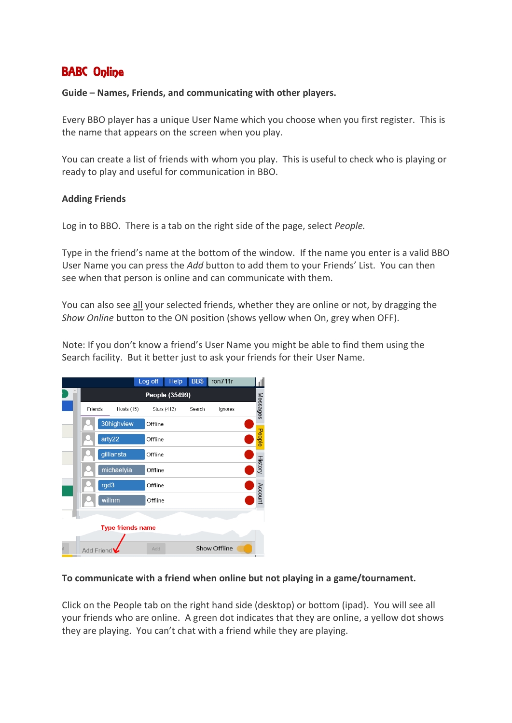# BABC Online

### **Guide – Names, Friends, and communicating with other players.**

Every BBO player has a unique User Name which you choose when you first register. This is the name that appears on the screen when you play.

You can create a list of friends with whom you play. This is useful to check who is playing or ready to play and useful for communication in BBO.

### **Adding Friends**

Log in to BBO. There is a tab on the right side of the page, select *People.*

Type in the friend's name at the bottom of the window. If the name you enter is a valid BBO User Name you can press the *Add* button to add them to your Friends' List. You can then see when that person is online and can communicate with them.

You can also see all your selected friends, whether they are online or not, by dragging the *Show Online* button to the ON position (shows yellow when On, grey when OFF).

Note: If you don't know a friend's User Name you might be able to find them using the Search facility. But it better just to ask your friends for their User Name.



### **To communicate with a friend when online but not playing in a game/tournament.**

Click on the People tab on the right hand side (desktop) or bottom (ipad). You will see all your friends who are online. A green dot indicates that they are online, a yellow dot shows they are playing. You can't chat with a friend while they are playing.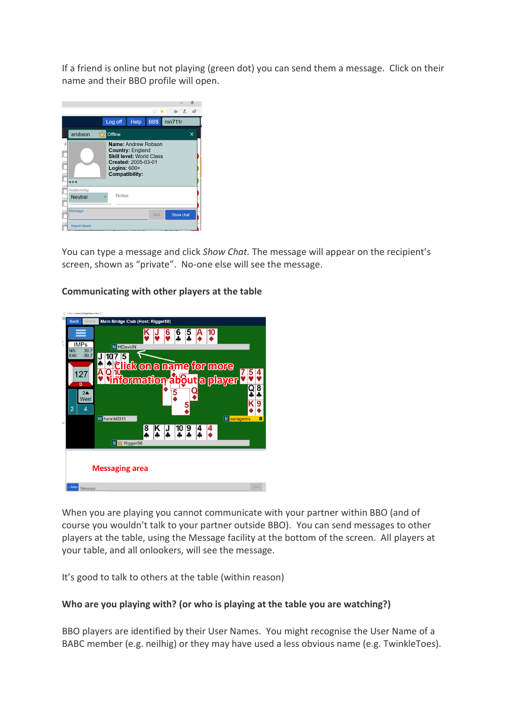If a friend is online but not playing (green dot) you can send them a message. Click on their name and their BBO profile will open.



You can type a message and click *Show Chat.* The message will appear on the recipient's screen, shown as "private". No-one else will see the message.

#### Main Bridge Club (Host: Rig  $\frac{6}{2}$ **IMPs** N HDavidN  $-39.7$ EW  $J$  107 5 Click on a name for more ♠ റ  $127$ **bout** a playe ormation ပ္  $2<sub>0</sub>$ West K 9 E  $\overline{4}$  $\overline{z}$ W henrik0311 E sara  $\overline{\mathbf{k}}$  $\sqrt{1}$  $\begin{array}{|c|c|c|c|c|}\n\hline\n10 & 9 & 4 & 4 \\
\hline\n\end{array}$  $\overline{\mathbf{8}}$ S<sup>M</sup> Rigg **Messaging area** -Table Message

## **Communicating with other players at the table**

When you are playing you cannot communicate with your partner within BBO (and of course you wouldn't talk to your partner outside BBO). You can send messages to other players at the table, using the Message facility at the bottom of the screen. All players at your table, and all onlookers, will see the message.

It's good to talk to others at the table (within reason)

# **Who are you playing with? (or who is playing at the table you are watching?)**

BBO players are identified by their User Names. You might recognise the User Name of a BABC member (e.g. neilhig) or they may have used a less obvious name (e.g. TwinkleToes).